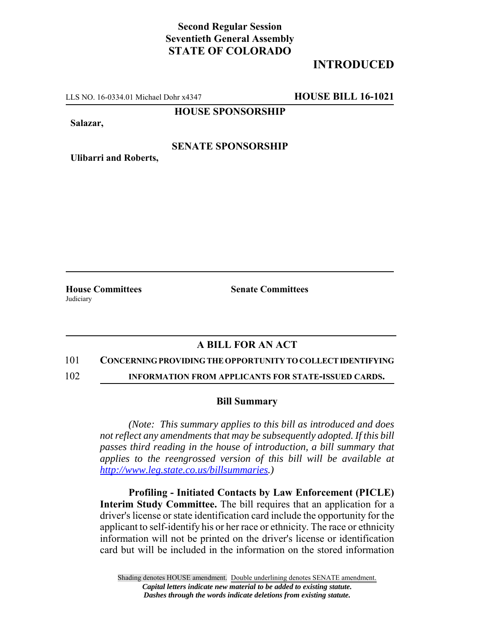# **Second Regular Session Seventieth General Assembly STATE OF COLORADO**

# **INTRODUCED**

LLS NO. 16-0334.01 Michael Dohr x4347 **HOUSE BILL 16-1021**

**HOUSE SPONSORSHIP**

**Salazar,**

## **SENATE SPONSORSHIP**

**Ulibarri and Roberts,**

**House Committees Senate Committees** Judiciary

## **A BILL FOR AN ACT**

#### 101 **CONCERNING PROVIDING THE OPPORTUNITY TO COLLECT IDENTIFYING**

102 **INFORMATION FROM APPLICANTS FOR STATE-ISSUED CARDS.**

### **Bill Summary**

*(Note: This summary applies to this bill as introduced and does not reflect any amendments that may be subsequently adopted. If this bill passes third reading in the house of introduction, a bill summary that applies to the reengrossed version of this bill will be available at http://www.leg.state.co.us/billsummaries.)*

**Profiling - Initiated Contacts by Law Enforcement (PICLE) Interim Study Committee.** The bill requires that an application for a driver's license or state identification card include the opportunity for the applicant to self-identify his or her race or ethnicity. The race or ethnicity information will not be printed on the driver's license or identification card but will be included in the information on the stored information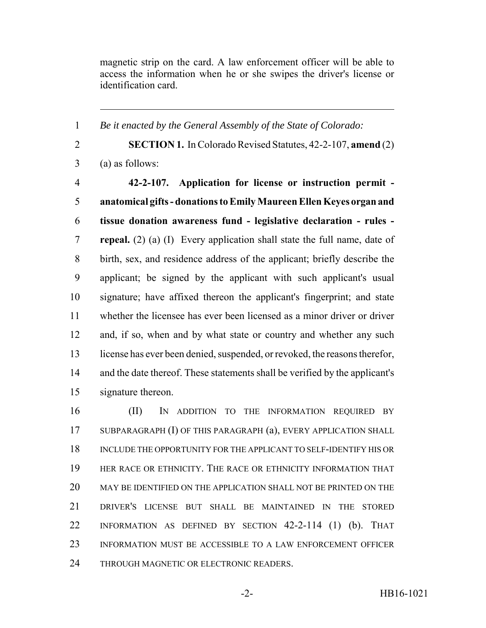magnetic strip on the card. A law enforcement officer will be able to access the information when he or she swipes the driver's license or identification card.

*Be it enacted by the General Assembly of the State of Colorado:*

 **SECTION 1.** In Colorado Revised Statutes, 42-2-107, **amend** (2) (a) as follows: **42-2-107. Application for license or instruction permit - anatomical gifts - donations to Emily Maureen Ellen Keyes organ and tissue donation awareness fund - legislative declaration - rules - repeal.** (2) (a) (I) Every application shall state the full name, date of birth, sex, and residence address of the applicant; briefly describe the applicant; be signed by the applicant with such applicant's usual signature; have affixed thereon the applicant's fingerprint; and state whether the licensee has ever been licensed as a minor driver or driver 12 and, if so, when and by what state or country and whether any such license has ever been denied, suspended, or revoked, the reasons therefor, and the date thereof. These statements shall be verified by the applicant's signature thereon.

 (II) IN ADDITION TO THE INFORMATION REQUIRED BY SUBPARAGRAPH (I) OF THIS PARAGRAPH (a), EVERY APPLICATION SHALL INCLUDE THE OPPORTUNITY FOR THE APPLICANT TO SELF-IDENTIFY HIS OR HER RACE OR ETHNICITY. THE RACE OR ETHNICITY INFORMATION THAT MAY BE IDENTIFIED ON THE APPLICATION SHALL NOT BE PRINTED ON THE DRIVER'S LICENSE BUT SHALL BE MAINTAINED IN THE STORED INFORMATION AS DEFINED BY SECTION 42-2-114 (1) (b). THAT INFORMATION MUST BE ACCESSIBLE TO A LAW ENFORCEMENT OFFICER 24 THROUGH MAGNETIC OR ELECTRONIC READERS.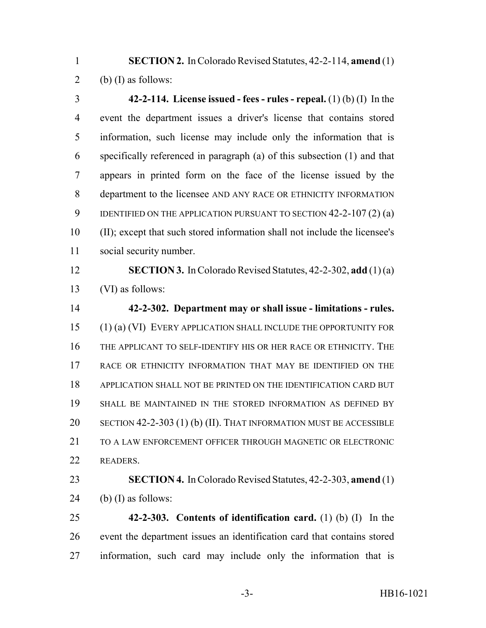**SECTION 2.** In Colorado Revised Statutes, 42-2-114, **amend** (1) 2 (b) (I) as follows:

 **42-2-114. License issued - fees - rules - repeal.** (1) (b) (I) In the event the department issues a driver's license that contains stored information, such license may include only the information that is specifically referenced in paragraph (a) of this subsection (1) and that appears in printed form on the face of the license issued by the department to the licensee AND ANY RACE OR ETHNICITY INFORMATION IDENTIFIED ON THE APPLICATION PURSUANT TO SECTION 42-2-107 (2) (a) (II); except that such stored information shall not include the licensee's social security number.

 **SECTION 3.** In Colorado Revised Statutes, 42-2-302, **add** (1) (a) (VI) as follows:

 **42-2-302. Department may or shall issue - limitations - rules.** (1) (a) (VI) EVERY APPLICATION SHALL INCLUDE THE OPPORTUNITY FOR THE APPLICANT TO SELF-IDENTIFY HIS OR HER RACE OR ETHNICITY. THE 17 RACE OR ETHNICITY INFORMATION THAT MAY BE IDENTIFIED ON THE APPLICATION SHALL NOT BE PRINTED ON THE IDENTIFICATION CARD BUT SHALL BE MAINTAINED IN THE STORED INFORMATION AS DEFINED BY SECTION 42-2-303 (1) (b) (II). THAT INFORMATION MUST BE ACCESSIBLE TO A LAW ENFORCEMENT OFFICER THROUGH MAGNETIC OR ELECTRONIC READERS.

 **SECTION 4.** In Colorado Revised Statutes, 42-2-303, **amend** (1) 24 (b) (I) as follows:

 **42-2-303. Contents of identification card.** (1) (b) (I) In the event the department issues an identification card that contains stored information, such card may include only the information that is